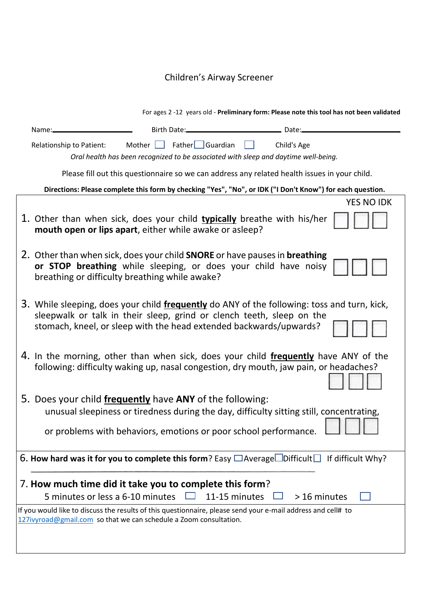## Children's Airway Screener

|                                                                                                           |                                                                                                                                                                                                                                            | For ages 2 -12 years old - Preliminary form: Please note this tool has not been validated |                   |
|-----------------------------------------------------------------------------------------------------------|--------------------------------------------------------------------------------------------------------------------------------------------------------------------------------------------------------------------------------------------|-------------------------------------------------------------------------------------------|-------------------|
| Name:                                                                                                     | Birth Date:                                                                                                                                                                                                                                |                                                                                           |                   |
| Relationship to Patient:                                                                                  | Father Guardian<br>Mother $\Box$<br>Oral health has been recognized to be associated with sleep and daytime well-being.                                                                                                                    | Child's Age                                                                               |                   |
|                                                                                                           | Please fill out this questionnaire so we can address any related health issues in your child.                                                                                                                                              |                                                                                           |                   |
| Directions: Please complete this form by checking "Yes", "No", or IDK ("I Don't Know") for each question. |                                                                                                                                                                                                                                            |                                                                                           |                   |
|                                                                                                           |                                                                                                                                                                                                                                            |                                                                                           | <b>YES NO IDK</b> |
|                                                                                                           | 1. Other than when sick, does your child <b>typically</b> breathe with his/her<br>mouth open or lips apart, either while awake or asleep?                                                                                                  |                                                                                           |                   |
|                                                                                                           | 2. Other than when sick, does your child <b>SNORE</b> or have pauses in <b>breathing</b><br>or STOP breathing while sleeping, or does your child have noisy<br>breathing or difficulty breathing while awake?                              |                                                                                           |                   |
|                                                                                                           | 3. While sleeping, does your child frequently do ANY of the following: toss and turn, kick,<br>sleepwalk or talk in their sleep, grind or clench teeth, sleep on the<br>stomach, kneel, or sleep with the head extended backwards/upwards? |                                                                                           |                   |
|                                                                                                           | 4. In the morning, other than when sick, does your child frequently have ANY of the<br>following: difficulty waking up, nasal congestion, dry mouth, jaw pain, or headaches?                                                               |                                                                                           |                   |
|                                                                                                           | 5. Does your child frequently have ANY of the following:                                                                                                                                                                                   |                                                                                           |                   |
|                                                                                                           | unusual sleepiness or tiredness during the day, difficulty sitting still, concentrating,                                                                                                                                                   |                                                                                           |                   |
|                                                                                                           | or problems with behaviors, emotions or poor school performance.                                                                                                                                                                           |                                                                                           |                   |
|                                                                                                           | 6. How hard was it for you to complete this form? Easy $\Box$ Average $\Box$ Difficult $\Box$ If difficult Why?                                                                                                                            |                                                                                           |                   |
|                                                                                                           | 7. How much time did it take you to complete this form?                                                                                                                                                                                    |                                                                                           |                   |
| 5 minutes or less a 6-10 minutes                                                                          |                                                                                                                                                                                                                                            | 11-15 minutes                                                                             | > 16 minutes      |
|                                                                                                           | If you would like to discuss the results of this questionnaire, please send your e-mail address and cell# to<br>127ivyroad@gmail.com so that we can schedule a Zoom consultation.                                                          |                                                                                           |                   |
|                                                                                                           |                                                                                                                                                                                                                                            |                                                                                           |                   |